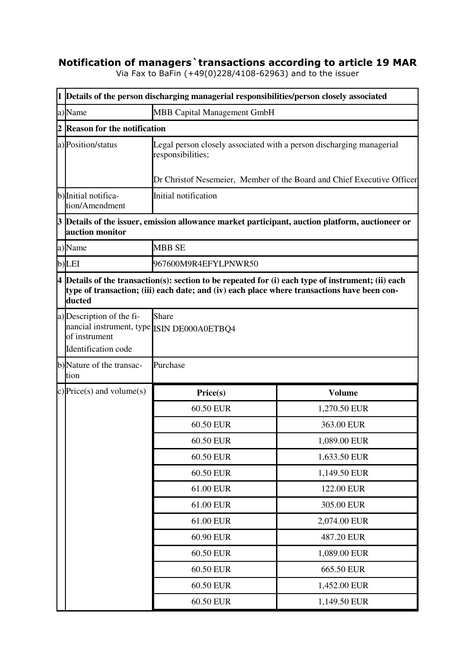## **Notification of managers`transactions according to article 19 MAR**

Via Fax to BaFin (+49(0)228/4108-62963) and to the issuer

|   | 1 Details of the person discharging managerial responsibilities/person closely associated                                                                                                                     |                                                                                                                                                                     |               |  |  |
|---|---------------------------------------------------------------------------------------------------------------------------------------------------------------------------------------------------------------|---------------------------------------------------------------------------------------------------------------------------------------------------------------------|---------------|--|--|
|   | MBB Capital Management GmbH<br>a)Name                                                                                                                                                                         |                                                                                                                                                                     |               |  |  |
| 2 | <b>Reason for the notification</b>                                                                                                                                                                            |                                                                                                                                                                     |               |  |  |
|   | a) Position/status                                                                                                                                                                                            | Legal person closely associated with a person discharging managerial<br>responsibilities;<br>Dr Christof Nesemeier, Member of the Board and Chief Executive Officer |               |  |  |
|   |                                                                                                                                                                                                               |                                                                                                                                                                     |               |  |  |
|   | b) Initial notifica-<br>tion/Amendment                                                                                                                                                                        | Initial notification                                                                                                                                                |               |  |  |
|   | 3 Details of the issuer, emission allowance market participant, auction platform, auctioneer or<br>auction monitor                                                                                            |                                                                                                                                                                     |               |  |  |
|   | a)Name                                                                                                                                                                                                        | <b>MBB SE</b>                                                                                                                                                       |               |  |  |
|   | b)LEI                                                                                                                                                                                                         | 967600M9R4EFYLPNWR50                                                                                                                                                |               |  |  |
|   | $4$ Details of the transaction(s): section to be repeated for (i) each type of instrument; (ii) each<br>type of transaction; (iii) each date; and (iv) each place where transactions have been con-<br>ducted |                                                                                                                                                                     |               |  |  |
|   | a) Description of the fi-<br>nancial instrument, type ISIN DE000A0ETBQ4<br>of instrument<br>Identification code                                                                                               | <b>Share</b>                                                                                                                                                        |               |  |  |
|   | b)Nature of the transac-<br>tion                                                                                                                                                                              | Purchase                                                                                                                                                            |               |  |  |
|   | c) Price(s) and volume(s)                                                                                                                                                                                     | Price(s)                                                                                                                                                            | <b>Volume</b> |  |  |
|   |                                                                                                                                                                                                               | 60.50 EUR                                                                                                                                                           | 1,270.50 EUR  |  |  |
|   |                                                                                                                                                                                                               | 60.50 EUR                                                                                                                                                           | 363.00 EUR    |  |  |
|   |                                                                                                                                                                                                               | 60.50 EUR                                                                                                                                                           | 1,089.00 EUR  |  |  |
|   |                                                                                                                                                                                                               | 60.50 EUR                                                                                                                                                           | 1,633.50 EUR  |  |  |
|   |                                                                                                                                                                                                               | 60.50 EUR                                                                                                                                                           | 1,149.50 EUR  |  |  |
|   |                                                                                                                                                                                                               | 61.00 EUR                                                                                                                                                           | 122.00 EUR    |  |  |
|   |                                                                                                                                                                                                               | 61.00 EUR                                                                                                                                                           | 305.00 EUR    |  |  |
|   |                                                                                                                                                                                                               | 61.00 EUR                                                                                                                                                           | 2,074.00 EUR  |  |  |
|   |                                                                                                                                                                                                               | 60.90 EUR                                                                                                                                                           | 487.20 EUR    |  |  |
|   |                                                                                                                                                                                                               | 60.50 EUR                                                                                                                                                           | 1,089.00 EUR  |  |  |
|   |                                                                                                                                                                                                               | 60.50 EUR                                                                                                                                                           | 665.50 EUR    |  |  |
|   |                                                                                                                                                                                                               | 60.50 EUR                                                                                                                                                           | 1,452.00 EUR  |  |  |
|   |                                                                                                                                                                                                               | 60.50 EUR                                                                                                                                                           | 1,149.50 EUR  |  |  |